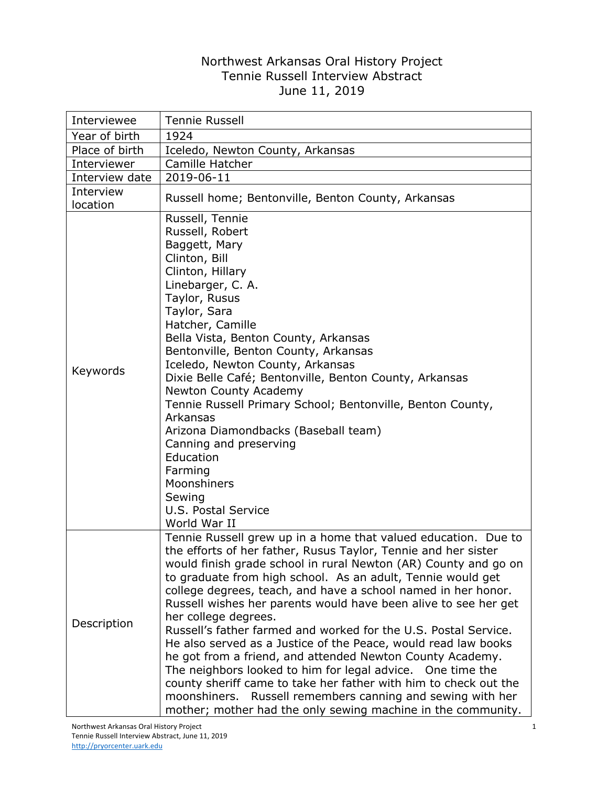## Northwest Arkansas Oral History Project Tennie Russell Interview Abstract June 11, 2019

| Interviewee           | <b>Tennie Russell</b>                                                                                                                                                                                                                                                                                                                                                                                                                                                                                                                                                                                                                                                                                                                                                                                                                                                                            |
|-----------------------|--------------------------------------------------------------------------------------------------------------------------------------------------------------------------------------------------------------------------------------------------------------------------------------------------------------------------------------------------------------------------------------------------------------------------------------------------------------------------------------------------------------------------------------------------------------------------------------------------------------------------------------------------------------------------------------------------------------------------------------------------------------------------------------------------------------------------------------------------------------------------------------------------|
| Year of birth         | 1924                                                                                                                                                                                                                                                                                                                                                                                                                                                                                                                                                                                                                                                                                                                                                                                                                                                                                             |
| Place of birth        | Iceledo, Newton County, Arkansas                                                                                                                                                                                                                                                                                                                                                                                                                                                                                                                                                                                                                                                                                                                                                                                                                                                                 |
| Interviewer           | Camille Hatcher                                                                                                                                                                                                                                                                                                                                                                                                                                                                                                                                                                                                                                                                                                                                                                                                                                                                                  |
| Interview date        | 2019-06-11                                                                                                                                                                                                                                                                                                                                                                                                                                                                                                                                                                                                                                                                                                                                                                                                                                                                                       |
| Interview<br>location | Russell home; Bentonville, Benton County, Arkansas                                                                                                                                                                                                                                                                                                                                                                                                                                                                                                                                                                                                                                                                                                                                                                                                                                               |
| Keywords              | Russell, Tennie<br>Russell, Robert<br>Baggett, Mary<br>Clinton, Bill<br>Clinton, Hillary<br>Linebarger, C. A.<br>Taylor, Rusus<br>Taylor, Sara<br>Hatcher, Camille<br>Bella Vista, Benton County, Arkansas<br>Bentonville, Benton County, Arkansas<br>Iceledo, Newton County, Arkansas<br>Dixie Belle Café; Bentonville, Benton County, Arkansas<br>Newton County Academy<br>Tennie Russell Primary School; Bentonville, Benton County,<br>Arkansas<br>Arizona Diamondbacks (Baseball team)<br>Canning and preserving<br>Education<br>Farming<br>Moonshiners<br>Sewing<br><b>U.S. Postal Service</b><br>World War II                                                                                                                                                                                                                                                                             |
| Description           | Tennie Russell grew up in a home that valued education. Due to<br>the efforts of her father, Rusus Taylor, Tennie and her sister<br>would finish grade school in rural Newton (AR) County and go on<br>to graduate from high school. As an adult, Tennie would get<br>college degrees, teach, and have a school named in her honor.<br>Russell wishes her parents would have been alive to see her get<br>her college degrees.<br>Russell's father farmed and worked for the U.S. Postal Service.<br>He also served as a Justice of the Peace, would read law books<br>he got from a friend, and attended Newton County Academy.<br>The neighbors looked to him for legal advice. One time the<br>county sheriff came to take her father with him to check out the<br>moonshiners. Russell remembers canning and sewing with her<br>mother; mother had the only sewing machine in the community. |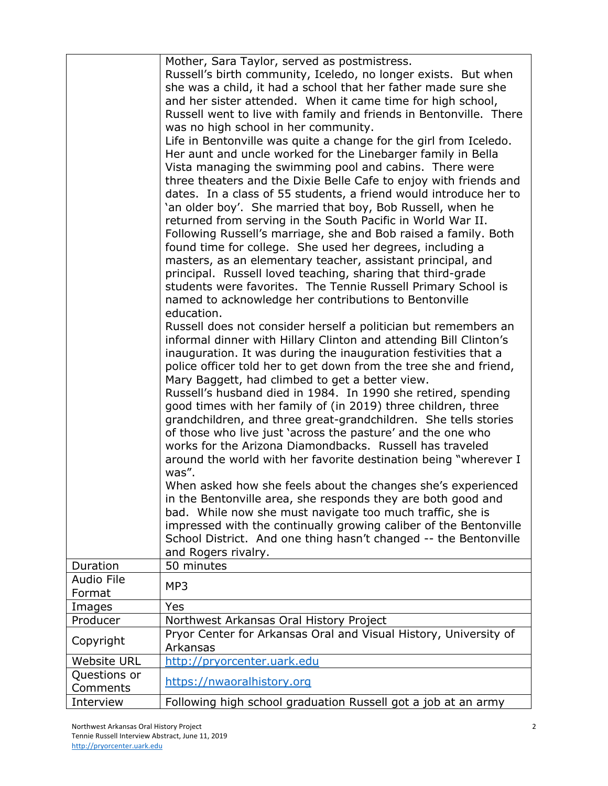|                               | Mother, Sara Taylor, served as postmistress.<br>Russell's birth community, Iceledo, no longer exists. But when<br>she was a child, it had a school that her father made sure she<br>and her sister attended. When it came time for high school,<br>Russell went to live with family and friends in Bentonville. There<br>was no high school in her community.<br>Life in Bentonville was quite a change for the girl from Iceledo.<br>Her aunt and uncle worked for the Linebarger family in Bella<br>Vista managing the swimming pool and cabins. There were<br>three theaters and the Dixie Belle Cafe to enjoy with friends and<br>dates. In a class of 55 students, a friend would introduce her to<br>'an older boy'. She married that boy, Bob Russell, when he<br>returned from serving in the South Pacific in World War II.<br>Following Russell's marriage, she and Bob raised a family. Both<br>found time for college. She used her degrees, including a<br>masters, as an elementary teacher, assistant principal, and<br>principal. Russell loved teaching, sharing that third-grade<br>students were favorites. The Tennie Russell Primary School is<br>named to acknowledge her contributions to Bentonville<br>education.<br>Russell does not consider herself a politician but remembers an<br>informal dinner with Hillary Clinton and attending Bill Clinton's<br>inauguration. It was during the inauguration festivities that a<br>police officer told her to get down from the tree she and friend,<br>Mary Baggett, had climbed to get a better view.<br>Russell's husband died in 1984. In 1990 she retired, spending<br>good times with her family of (in 2019) three children, three<br>grandchildren, and three great-grandchildren. She tells stories<br>of those who live just 'across the pasture' and the one who<br>works for the Arizona Diamondbacks. Russell has traveled<br>around the world with her favorite destination being "wherever I<br>was".<br>When asked how she feels about the changes she's experienced<br>in the Bentonville area, she responds they are both good and<br>bad. While now she must navigate too much traffic, she is<br>impressed with the continually growing caliber of the Bentonville<br>School District. And one thing hasn't changed -- the Bentonville |
|-------------------------------|----------------------------------------------------------------------------------------------------------------------------------------------------------------------------------------------------------------------------------------------------------------------------------------------------------------------------------------------------------------------------------------------------------------------------------------------------------------------------------------------------------------------------------------------------------------------------------------------------------------------------------------------------------------------------------------------------------------------------------------------------------------------------------------------------------------------------------------------------------------------------------------------------------------------------------------------------------------------------------------------------------------------------------------------------------------------------------------------------------------------------------------------------------------------------------------------------------------------------------------------------------------------------------------------------------------------------------------------------------------------------------------------------------------------------------------------------------------------------------------------------------------------------------------------------------------------------------------------------------------------------------------------------------------------------------------------------------------------------------------------------------------------------------------------------------------------------------------------------------------------------------------------------------------------------------------------------------------------------------------------------------------------------------------------------------------------------------------------------------------------------------------------------------------------------------------------------------------------------------------------------------------------------------------------------------------------------------|
|                               | and Rogers rivalry.                                                                                                                                                                                                                                                                                                                                                                                                                                                                                                                                                                                                                                                                                                                                                                                                                                                                                                                                                                                                                                                                                                                                                                                                                                                                                                                                                                                                                                                                                                                                                                                                                                                                                                                                                                                                                                                                                                                                                                                                                                                                                                                                                                                                                                                                                                              |
| Duration<br><b>Audio File</b> | 50 minutes                                                                                                                                                                                                                                                                                                                                                                                                                                                                                                                                                                                                                                                                                                                                                                                                                                                                                                                                                                                                                                                                                                                                                                                                                                                                                                                                                                                                                                                                                                                                                                                                                                                                                                                                                                                                                                                                                                                                                                                                                                                                                                                                                                                                                                                                                                                       |
| Format                        | MP3                                                                                                                                                                                                                                                                                                                                                                                                                                                                                                                                                                                                                                                                                                                                                                                                                                                                                                                                                                                                                                                                                                                                                                                                                                                                                                                                                                                                                                                                                                                                                                                                                                                                                                                                                                                                                                                                                                                                                                                                                                                                                                                                                                                                                                                                                                                              |
| Images                        | Yes                                                                                                                                                                                                                                                                                                                                                                                                                                                                                                                                                                                                                                                                                                                                                                                                                                                                                                                                                                                                                                                                                                                                                                                                                                                                                                                                                                                                                                                                                                                                                                                                                                                                                                                                                                                                                                                                                                                                                                                                                                                                                                                                                                                                                                                                                                                              |
| Producer                      | Northwest Arkansas Oral History Project                                                                                                                                                                                                                                                                                                                                                                                                                                                                                                                                                                                                                                                                                                                                                                                                                                                                                                                                                                                                                                                                                                                                                                                                                                                                                                                                                                                                                                                                                                                                                                                                                                                                                                                                                                                                                                                                                                                                                                                                                                                                                                                                                                                                                                                                                          |
| Copyright                     | Pryor Center for Arkansas Oral and Visual History, University of<br>Arkansas                                                                                                                                                                                                                                                                                                                                                                                                                                                                                                                                                                                                                                                                                                                                                                                                                                                                                                                                                                                                                                                                                                                                                                                                                                                                                                                                                                                                                                                                                                                                                                                                                                                                                                                                                                                                                                                                                                                                                                                                                                                                                                                                                                                                                                                     |
| <b>Website URL</b>            | http://pryorcenter.uark.edu                                                                                                                                                                                                                                                                                                                                                                                                                                                                                                                                                                                                                                                                                                                                                                                                                                                                                                                                                                                                                                                                                                                                                                                                                                                                                                                                                                                                                                                                                                                                                                                                                                                                                                                                                                                                                                                                                                                                                                                                                                                                                                                                                                                                                                                                                                      |
| Questions or<br>Comments      | https://nwaoralhistory.org                                                                                                                                                                                                                                                                                                                                                                                                                                                                                                                                                                                                                                                                                                                                                                                                                                                                                                                                                                                                                                                                                                                                                                                                                                                                                                                                                                                                                                                                                                                                                                                                                                                                                                                                                                                                                                                                                                                                                                                                                                                                                                                                                                                                                                                                                                       |
| Interview                     | Following high school graduation Russell got a job at an army                                                                                                                                                                                                                                                                                                                                                                                                                                                                                                                                                                                                                                                                                                                                                                                                                                                                                                                                                                                                                                                                                                                                                                                                                                                                                                                                                                                                                                                                                                                                                                                                                                                                                                                                                                                                                                                                                                                                                                                                                                                                                                                                                                                                                                                                    |